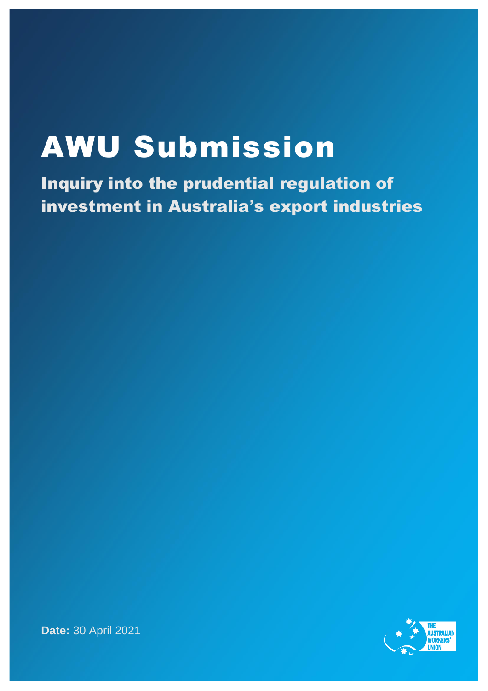## AWU Submission

Inquiry into the prudential regulation of investment in Australia**'**s export industries



**Date:** 30 April 2021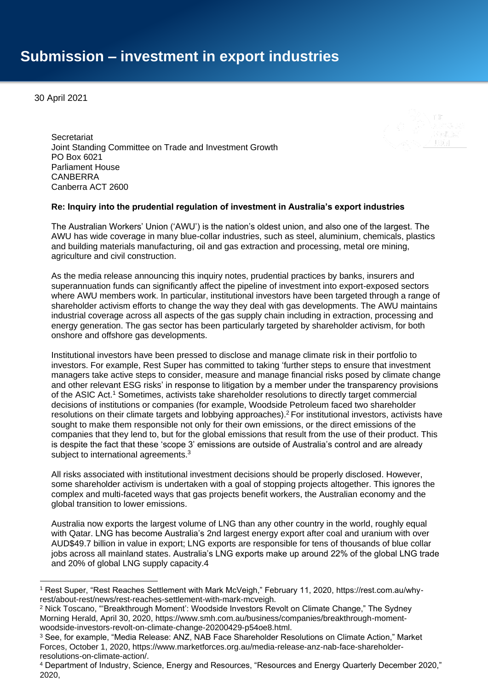30 April 2021

**Secretariat** Joint Standing Committee on Trade and Investment Growth PO Box 6021 Parliament House CANBERRA Canberra ACT 2600

## **Re: Inquiry into the prudential regulation of investment in Australia's export industries**

The Australian Workers' Union ('AWU') is the nation's oldest union, and also one of the largest. The AWU has wide coverage in many blue-collar industries, such as steel, aluminium, chemicals, plastics and building materials manufacturing, oil and gas extraction and processing, metal ore mining, agriculture and civil construction.

As the media release announcing this inquiry notes, prudential practices by banks, insurers and superannuation funds can significantly affect the pipeline of investment into export-exposed sectors where AWU members work. In particular, institutional investors have been targeted through a range of shareholder activism efforts to change the way they deal with gas developments. The AWU maintains industrial coverage across all aspects of the gas supply chain including in extraction, processing and energy generation. The gas sector has been particularly targeted by shareholder activism, for both onshore and offshore gas developments.

Institutional investors have been pressed to disclose and manage climate risk in their portfolio to investors. For example, Rest Super has committed to taking 'further steps to ensure that investment managers take active steps to consider, measure and manage financial risks posed by climate change and other relevant ESG risks' in response to litigation by a member under the transparency provisions of the ASIC Act.<sup>1</sup> Sometimes, activists take shareholder resolutions to directly target commercial decisions of institutions or companies (for example, Woodside Petroleum faced two shareholder resolutions on their climate targets and lobbying approaches).<sup>2</sup> For institutional investors, activists have sought to make them responsible not only for their own emissions, or the direct emissions of the companies that they lend to, but for the global emissions that result from the use of their product. This is despite the fact that these 'scope 3' emissions are outside of Australia's control and are already subject to international agreements.<sup>3</sup>

All risks associated with institutional investment decisions should be properly disclosed. However, some shareholder activism is undertaken with a goal of stopping projects altogether. This ignores the complex and multi-faceted ways that gas projects benefit workers, the Australian economy and the global transition to lower emissions.

Australia now exports the largest volume of LNG than any other country in the world, roughly equal with Qatar. LNG has become Australia's 2nd largest energy export after coal and uranium with over AUD\$49.7 billion in value in export; LNG exports are responsible for tens of thousands of blue collar jobs across all mainland states. Australia's LNG exports make up around 22% of the global LNG trade and 20% of global LNG supply capacity.4

<sup>1</sup> Rest Super, "Rest Reaches Settlement with Mark McVeigh," February 11, 2020, https://rest.com.au/whyrest/about-rest/news/rest-reaches-settlement-with-mark-mcveigh.

<sup>2</sup> Nick Toscano, "'Breakthrough Moment': Woodside Investors Revolt on Climate Change," The Sydney Morning Herald, April 30, 2020, https://www.smh.com.au/business/companies/breakthrough-momentwoodside-investors-revolt-on-climate-change-20200429-p54oe8.html.

<sup>3</sup> See, for example, "Media Release: ANZ, NAB Face Shareholder Resolutions on Climate Action," Market Forces, October 1, 2020, https://www.marketforces.org.au/media-release-anz-nab-face-shareholderresolutions-on-climate-action/.

<sup>4</sup> Department of Industry, Science, Energy and Resources, "Resources and Energy Quarterly December 2020," 2020,